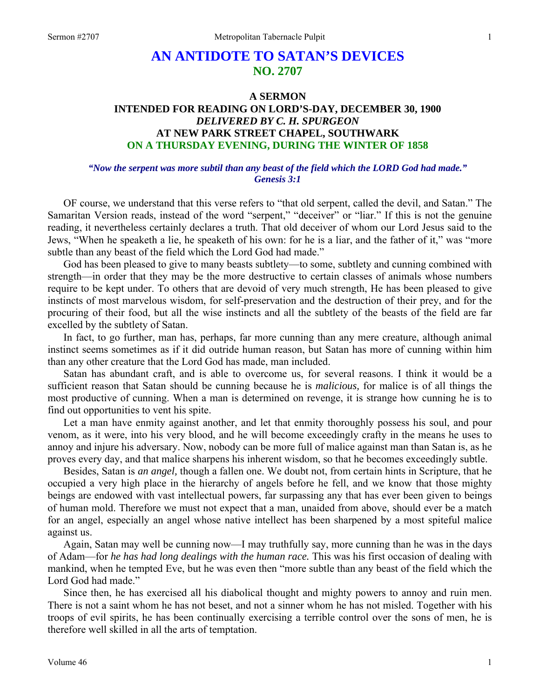## **AN ANTIDOTE TO SATAN'S DEVICES NO. 2707**

### **A SERMON INTENDED FOR READING ON LORD'S-DAY, DECEMBER 30, 1900**  *DELIVERED BY C. H. SPURGEON*  **AT NEW PARK STREET CHAPEL, SOUTHWARK ON A THURSDAY EVENING, DURING THE WINTER OF 1858**

#### *"Now the serpent was more subtil than any beast of the field which the LORD God had made." Genesis 3:1*

OF course, we understand that this verse refers to "that old serpent, called the devil, and Satan." The Samaritan Version reads, instead of the word "serpent," "deceiver" or "liar." If this is not the genuine reading, it nevertheless certainly declares a truth. That old deceiver of whom our Lord Jesus said to the Jews, "When he speaketh a lie, he speaketh of his own: for he is a liar, and the father of it," was "more subtle than any beast of the field which the Lord God had made."

God has been pleased to give to many beasts subtlety—to some, subtlety and cunning combined with strength—in order that they may be the more destructive to certain classes of animals whose numbers require to be kept under. To others that are devoid of very much strength, He has been pleased to give instincts of most marvelous wisdom, for self-preservation and the destruction of their prey, and for the procuring of their food, but all the wise instincts and all the subtlety of the beasts of the field are far excelled by the subtlety of Satan.

In fact, to go further, man has, perhaps, far more cunning than any mere creature, although animal instinct seems sometimes as if it did outride human reason, but Satan has more of cunning within him than any other creature that the Lord God has made, man included.

Satan has abundant craft, and is able to overcome us, for several reasons. I think it would be a sufficient reason that Satan should be cunning because he is *malicious,* for malice is of all things the most productive of cunning. When a man is determined on revenge, it is strange how cunning he is to find out opportunities to vent his spite.

Let a man have enmity against another, and let that enmity thoroughly possess his soul, and pour venom, as it were, into his very blood, and he will become exceedingly crafty in the means he uses to annoy and injure his adversary. Now, nobody can be more full of malice against man than Satan is, as he proves every day, and that malice sharpens his inherent wisdom, so that he becomes exceedingly subtle.

Besides, Satan is *an angel,* though a fallen one. We doubt not, from certain hints in Scripture, that he occupied a very high place in the hierarchy of angels before he fell, and we know that those mighty beings are endowed with vast intellectual powers, far surpassing any that has ever been given to beings of human mold. Therefore we must not expect that a man, unaided from above, should ever be a match for an angel, especially an angel whose native intellect has been sharpened by a most spiteful malice against us.

Again, Satan may well be cunning now—I may truthfully say, more cunning than he was in the days of Adam—for *he has had long dealings with the human race.* This was his first occasion of dealing with mankind, when he tempted Eve, but he was even then "more subtle than any beast of the field which the Lord God had made."

Since then, he has exercised all his diabolical thought and mighty powers to annoy and ruin men. There is not a saint whom he has not beset, and not a sinner whom he has not misled. Together with his troops of evil spirits, he has been continually exercising a terrible control over the sons of men, he is therefore well skilled in all the arts of temptation.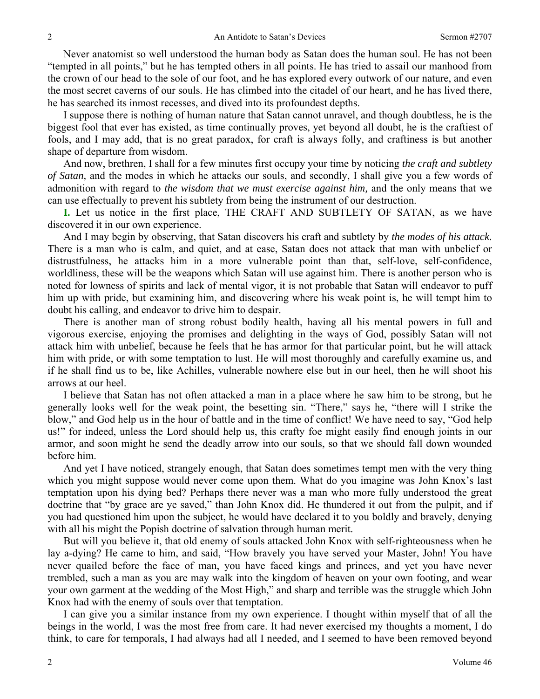Never anatomist so well understood the human body as Satan does the human soul. He has not been "tempted in all points," but he has tempted others in all points. He has tried to assail our manhood from the crown of our head to the sole of our foot, and he has explored every outwork of our nature, and even the most secret caverns of our souls. He has climbed into the citadel of our heart, and he has lived there, he has searched its inmost recesses, and dived into its profoundest depths.

I suppose there is nothing of human nature that Satan cannot unravel, and though doubtless, he is the biggest fool that ever has existed, as time continually proves, yet beyond all doubt, he is the craftiest of fools, and I may add, that is no great paradox, for craft is always folly, and craftiness is but another shape of departure from wisdom.

And now, brethren, I shall for a few minutes first occupy your time by noticing *the craft and subtlety of Satan,* and the modes in which he attacks our souls, and secondly, I shall give you a few words of admonition with regard to *the wisdom that we must exercise against him,* and the only means that we can use effectually to prevent his subtlety from being the instrument of our destruction.

**I.** Let us notice in the first place, THE CRAFT AND SUBTLETY OF SATAN, as we have discovered it in our own experience.

And I may begin by observing, that Satan discovers his craft and subtlety by *the modes of his attack.*  There is a man who is calm, and quiet, and at ease, Satan does not attack that man with unbelief or distrustfulness, he attacks him in a more vulnerable point than that, self-love, self-confidence, worldliness, these will be the weapons which Satan will use against him. There is another person who is noted for lowness of spirits and lack of mental vigor, it is not probable that Satan will endeavor to puff him up with pride, but examining him, and discovering where his weak point is, he will tempt him to doubt his calling, and endeavor to drive him to despair.

There is another man of strong robust bodily health, having all his mental powers in full and vigorous exercise, enjoying the promises and delighting in the ways of God, possibly Satan will not attack him with unbelief, because he feels that he has armor for that particular point, but he will attack him with pride, or with some temptation to lust. He will most thoroughly and carefully examine us, and if he shall find us to be, like Achilles, vulnerable nowhere else but in our heel, then he will shoot his arrows at our heel.

I believe that Satan has not often attacked a man in a place where he saw him to be strong, but he generally looks well for the weak point, the besetting sin. "There," says he, "there will I strike the blow," and God help us in the hour of battle and in the time of conflict! We have need to say, "God help us!" for indeed, unless the Lord should help us, this crafty foe might easily find enough joints in our armor, and soon might he send the deadly arrow into our souls, so that we should fall down wounded before him.

And yet I have noticed, strangely enough, that Satan does sometimes tempt men with the very thing which you might suppose would never come upon them. What do you imagine was John Knox's last temptation upon his dying bed? Perhaps there never was a man who more fully understood the great doctrine that "by grace are ye saved," than John Knox did. He thundered it out from the pulpit, and if you had questioned him upon the subject, he would have declared it to you boldly and bravely, denying with all his might the Popish doctrine of salvation through human merit.

But will you believe it, that old enemy of souls attacked John Knox with self-righteousness when he lay a-dying? He came to him, and said, "How bravely you have served your Master, John! You have never quailed before the face of man, you have faced kings and princes, and yet you have never trembled, such a man as you are may walk into the kingdom of heaven on your own footing, and wear your own garment at the wedding of the Most High," and sharp and terrible was the struggle which John Knox had with the enemy of souls over that temptation.

I can give you a similar instance from my own experience. I thought within myself that of all the beings in the world, I was the most free from care. It had never exercised my thoughts a moment, I do think, to care for temporals, I had always had all I needed, and I seemed to have been removed beyond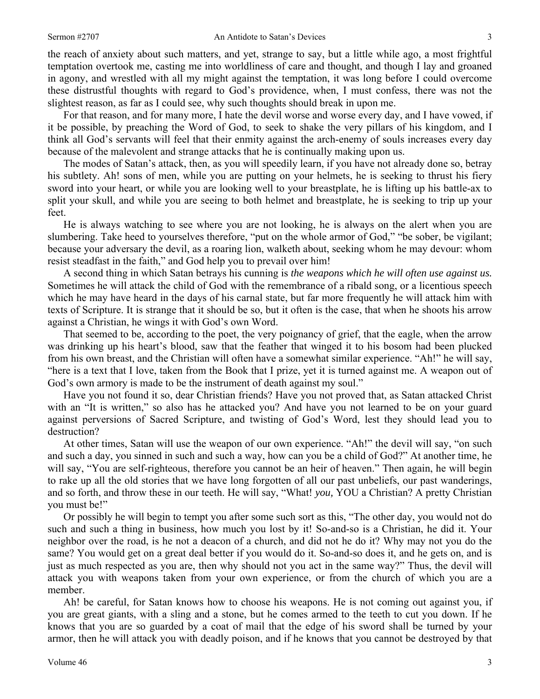the reach of anxiety about such matters, and yet, strange to say, but a little while ago, a most frightful temptation overtook me, casting me into worldliness of care and thought, and though I lay and groaned in agony, and wrestled with all my might against the temptation, it was long before I could overcome these distrustful thoughts with regard to God's providence, when, I must confess, there was not the slightest reason, as far as I could see, why such thoughts should break in upon me.

For that reason, and for many more, I hate the devil worse and worse every day, and I have vowed, if it be possible, by preaching the Word of God, to seek to shake the very pillars of his kingdom, and I think all God's servants will feel that their enmity against the arch-enemy of souls increases every day because of the malevolent and strange attacks that he is continually making upon us.

The modes of Satan's attack, then, as you will speedily learn, if you have not already done so, betray his subtlety. Ah! sons of men, while you are putting on your helmets, he is seeking to thrust his fiery sword into your heart, or while you are looking well to your breastplate, he is lifting up his battle-ax to split your skull, and while you are seeing to both helmet and breastplate, he is seeking to trip up your feet.

He is always watching to see where you are not looking, he is always on the alert when you are slumbering. Take heed to yourselves therefore, "put on the whole armor of God," "be sober, be vigilant; because your adversary the devil, as a roaring lion, walketh about, seeking whom he may devour: whom resist steadfast in the faith," and God help you to prevail over him!

A second thing in which Satan betrays his cunning is *the weapons which he will often use against us.*  Sometimes he will attack the child of God with the remembrance of a ribald song, or a licentious speech which he may have heard in the days of his carnal state, but far more frequently he will attack him with texts of Scripture. It is strange that it should be so, but it often is the case, that when he shoots his arrow against a Christian, he wings it with God's own Word.

That seemed to be, according to the poet, the very poignancy of grief, that the eagle, when the arrow was drinking up his heart's blood, saw that the feather that winged it to his bosom had been plucked from his own breast, and the Christian will often have a somewhat similar experience. "Ah!" he will say, "here is a text that I love, taken from the Book that I prize, yet it is turned against me. A weapon out of God's own armory is made to be the instrument of death against my soul."

Have you not found it so, dear Christian friends? Have you not proved that, as Satan attacked Christ with an "It is written," so also has he attacked you? And have you not learned to be on your guard against perversions of Sacred Scripture, and twisting of God's Word, lest they should lead you to destruction?

At other times, Satan will use the weapon of our own experience. "Ah!" the devil will say, "on such and such a day, you sinned in such and such a way, how can you be a child of God?" At another time, he will say, "You are self-righteous, therefore you cannot be an heir of heaven." Then again, he will begin to rake up all the old stories that we have long forgotten of all our past unbeliefs, our past wanderings, and so forth, and throw these in our teeth. He will say, "What! *you,* YOU a Christian? A pretty Christian you must be!"

Or possibly he will begin to tempt you after some such sort as this, "The other day, you would not do such and such a thing in business, how much you lost by it! So-and-so is a Christian, he did it. Your neighbor over the road, is he not a deacon of a church, and did not he do it? Why may not you do the same? You would get on a great deal better if you would do it. So-and-so does it, and he gets on, and is just as much respected as you are, then why should not you act in the same way?" Thus, the devil will attack you with weapons taken from your own experience, or from the church of which you are a member.

Ah! be careful, for Satan knows how to choose his weapons. He is not coming out against you, if you are great giants, with a sling and a stone, but he comes armed to the teeth to cut you down. If he knows that you are so guarded by a coat of mail that the edge of his sword shall be turned by your armor, then he will attack you with deadly poison, and if he knows that you cannot be destroyed by that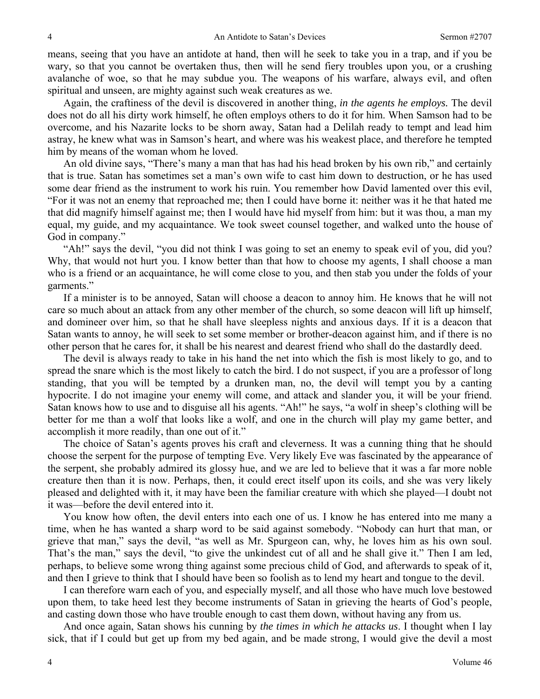means, seeing that you have an antidote at hand, then will he seek to take you in a trap, and if you be wary, so that you cannot be overtaken thus, then will he send fiery troubles upon you, or a crushing avalanche of woe, so that he may subdue you. The weapons of his warfare, always evil, and often spiritual and unseen, are mighty against such weak creatures as we.

Again, the craftiness of the devil is discovered in another thing, *in the agents he employs.* The devil does not do all his dirty work himself, he often employs others to do it for him. When Samson had to be overcome, and his Nazarite locks to be shorn away, Satan had a Delilah ready to tempt and lead him astray, he knew what was in Samson's heart, and where was his weakest place, and therefore he tempted him by means of the woman whom he loved.

An old divine says, "There's many a man that has had his head broken by his own rib," and certainly that is true. Satan has sometimes set a man's own wife to cast him down to destruction, or he has used some dear friend as the instrument to work his ruin. You remember how David lamented over this evil, "For it was not an enemy that reproached me; then I could have borne it: neither was it he that hated me that did magnify himself against me; then I would have hid myself from him: but it was thou, a man my equal, my guide, and my acquaintance. We took sweet counsel together, and walked unto the house of God in company."

"Ah!" says the devil, "you did not think I was going to set an enemy to speak evil of you, did you? Why, that would not hurt you. I know better than that how to choose my agents, I shall choose a man who is a friend or an acquaintance, he will come close to you, and then stab you under the folds of your garments."

If a minister is to be annoyed, Satan will choose a deacon to annoy him. He knows that he will not care so much about an attack from any other member of the church, so some deacon will lift up himself, and domineer over him, so that he shall have sleepless nights and anxious days. If it is a deacon that Satan wants to annoy, he will seek to set some member or brother-deacon against him, and if there is no other person that he cares for, it shall be his nearest and dearest friend who shall do the dastardly deed.

The devil is always ready to take in his hand the net into which the fish is most likely to go, and to spread the snare which is the most likely to catch the bird. I do not suspect, if you are a professor of long standing, that you will be tempted by a drunken man, no, the devil will tempt you by a canting hypocrite. I do not imagine your enemy will come, and attack and slander you, it will be your friend. Satan knows how to use and to disguise all his agents. "Ah!" he says, "a wolf in sheep's clothing will be better for me than a wolf that looks like a wolf, and one in the church will play my game better, and accomplish it more readily, than one out of it."

The choice of Satan's agents proves his craft and cleverness. It was a cunning thing that he should choose the serpent for the purpose of tempting Eve. Very likely Eve was fascinated by the appearance of the serpent, she probably admired its glossy hue, and we are led to believe that it was a far more noble creature then than it is now. Perhaps, then, it could erect itself upon its coils, and she was very likely pleased and delighted with it, it may have been the familiar creature with which she played—I doubt not it was—before the devil entered into it.

You know how often, the devil enters into each one of us. I know he has entered into me many a time, when he has wanted a sharp word to be said against somebody. "Nobody can hurt that man, or grieve that man," says the devil, "as well as Mr. Spurgeon can, why, he loves him as his own soul. That's the man," says the devil, "to give the unkindest cut of all and he shall give it." Then I am led, perhaps, to believe some wrong thing against some precious child of God, and afterwards to speak of it, and then I grieve to think that I should have been so foolish as to lend my heart and tongue to the devil.

I can therefore warn each of you, and especially myself, and all those who have much love bestowed upon them, to take heed lest they become instruments of Satan in grieving the hearts of God's people, and casting down those who have trouble enough to cast them down, without having any from us.

And once again, Satan shows his cunning by *the times in which he attacks us*. I thought when I lay sick, that if I could but get up from my bed again, and be made strong, I would give the devil a most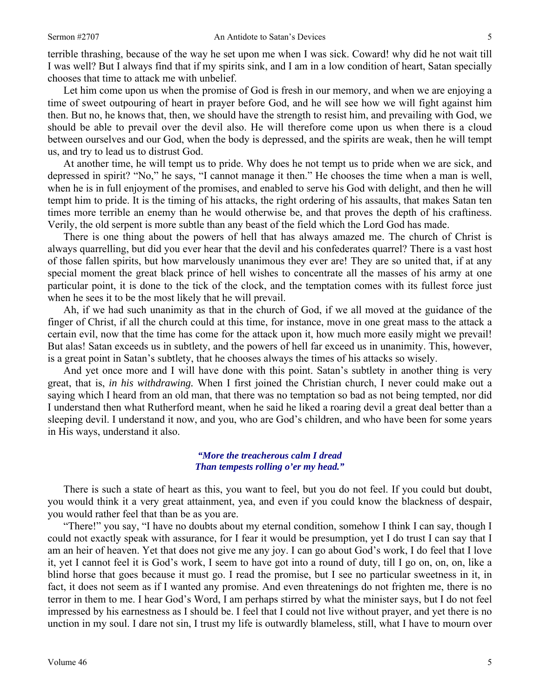terrible thrashing, because of the way he set upon me when I was sick. Coward! why did he not wait till I was well? But I always find that if my spirits sink, and I am in a low condition of heart, Satan specially chooses that time to attack me with unbelief.

Let him come upon us when the promise of God is fresh in our memory, and when we are enjoying a time of sweet outpouring of heart in prayer before God, and he will see how we will fight against him then. But no, he knows that, then, we should have the strength to resist him, and prevailing with God, we should be able to prevail over the devil also. He will therefore come upon us when there is a cloud between ourselves and our God, when the body is depressed, and the spirits are weak, then he will tempt us, and try to lead us to distrust God.

At another time, he will tempt us to pride. Why does he not tempt us to pride when we are sick, and depressed in spirit? "No," he says, "I cannot manage it then." He chooses the time when a man is well, when he is in full enjoyment of the promises, and enabled to serve his God with delight, and then he will tempt him to pride. It is the timing of his attacks, the right ordering of his assaults, that makes Satan ten times more terrible an enemy than he would otherwise be, and that proves the depth of his craftiness. Verily, the old serpent is more subtle than any beast of the field which the Lord God has made.

There is one thing about the powers of hell that has always amazed me. The church of Christ is always quarrelling, but did you ever hear that the devil and his confederates quarrel? There is a vast host of those fallen spirits, but how marvelously unanimous they ever are! They are so united that, if at any special moment the great black prince of hell wishes to concentrate all the masses of his army at one particular point, it is done to the tick of the clock, and the temptation comes with its fullest force just when he sees it to be the most likely that he will prevail.

Ah, if we had such unanimity as that in the church of God, if we all moved at the guidance of the finger of Christ, if all the church could at this time, for instance, move in one great mass to the attack a certain evil, now that the time has come for the attack upon it, how much more easily might we prevail! But alas! Satan exceeds us in subtlety, and the powers of hell far exceed us in unanimity. This, however, is a great point in Satan's subtlety, that he chooses always the times of his attacks so wisely.

And yet once more and I will have done with this point. Satan's subtlety in another thing is very great, that is, *in his withdrawing.* When I first joined the Christian church, I never could make out a saying which I heard from an old man, that there was no temptation so bad as not being tempted, nor did I understand then what Rutherford meant, when he said he liked a roaring devil a great deal better than a sleeping devil. I understand it now, and you, who are God's children, and who have been for some years in His ways, understand it also.

#### *"More the treacherous calm I dread Than tempests rolling o'er my head."*

There is such a state of heart as this, you want to feel, but you do not feel. If you could but doubt, you would think it a very great attainment, yea, and even if you could know the blackness of despair, you would rather feel that than be as you are.

"There!" you say, "I have no doubts about my eternal condition, somehow I think I can say, though I could not exactly speak with assurance, for I fear it would be presumption, yet I do trust I can say that I am an heir of heaven. Yet that does not give me any joy. I can go about God's work, I do feel that I love it, yet I cannot feel it is God's work, I seem to have got into a round of duty, till I go on, on, on, like a blind horse that goes because it must go. I read the promise, but I see no particular sweetness in it, in fact, it does not seem as if I wanted any promise. And even threatenings do not frighten me, there is no terror in them to me. I hear God's Word, I am perhaps stirred by what the minister says, but I do not feel impressed by his earnestness as I should be. I feel that I could not live without prayer, and yet there is no unction in my soul. I dare not sin, I trust my life is outwardly blameless, still, what I have to mourn over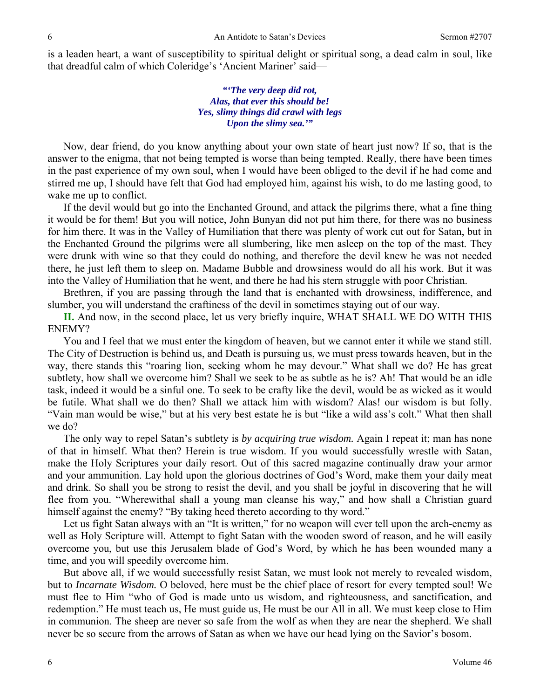is a leaden heart, a want of susceptibility to spiritual delight or spiritual song, a dead calm in soul, like that dreadful calm of which Coleridge's 'Ancient Mariner' said—

> *"'The very deep did rot, Alas, that ever this should be! Yes, slimy things did crawl with legs Upon the slimy sea.'"*

Now, dear friend, do you know anything about your own state of heart just now? If so, that is the answer to the enigma, that not being tempted is worse than being tempted. Really, there have been times in the past experience of my own soul, when I would have been obliged to the devil if he had come and stirred me up, I should have felt that God had employed him, against his wish, to do me lasting good, to wake me up to conflict.

If the devil would but go into the Enchanted Ground, and attack the pilgrims there, what a fine thing it would be for them! But you will notice, John Bunyan did not put him there, for there was no business for him there. It was in the Valley of Humiliation that there was plenty of work cut out for Satan, but in the Enchanted Ground the pilgrims were all slumbering, like men asleep on the top of the mast. They were drunk with wine so that they could do nothing, and therefore the devil knew he was not needed there, he just left them to sleep on. Madame Bubble and drowsiness would do all his work. But it was into the Valley of Humiliation that he went, and there he had his stern struggle with poor Christian.

Brethren, if you are passing through the land that is enchanted with drowsiness, indifference, and slumber, you will understand the craftiness of the devil in sometimes staying out of our way.

**II.** And now, in the second place, let us very briefly inquire, WHAT SHALL WE DO WITH THIS ENEMY?

You and I feel that we must enter the kingdom of heaven, but we cannot enter it while we stand still. The City of Destruction is behind us, and Death is pursuing us, we must press towards heaven, but in the way, there stands this "roaring lion, seeking whom he may devour." What shall we do? He has great subtlety, how shall we overcome him? Shall we seek to be as subtle as he is? Ah! That would be an idle task, indeed it would be a sinful one. To seek to be crafty like the devil, would be as wicked as it would be futile. What shall we do then? Shall we attack him with wisdom? Alas! our wisdom is but folly. "Vain man would be wise," but at his very best estate he is but "like a wild ass's colt." What then shall we do?

The only way to repel Satan's subtlety is *by acquiring true wisdom.* Again I repeat it; man has none of that in himself. What then? Herein is true wisdom. If you would successfully wrestle with Satan, make the Holy Scriptures your daily resort. Out of this sacred magazine continually draw your armor and your ammunition. Lay hold upon the glorious doctrines of God's Word, make them your daily meat and drink. So shall you be strong to resist the devil, and you shall be joyful in discovering that he will flee from you. "Wherewithal shall a young man cleanse his way," and how shall a Christian guard himself against the enemy? "By taking heed thereto according to thy word."

Let us fight Satan always with an "It is written," for no weapon will ever tell upon the arch-enemy as well as Holy Scripture will. Attempt to fight Satan with the wooden sword of reason, and he will easily overcome you, but use this Jerusalem blade of God's Word, by which he has been wounded many a time, and you will speedily overcome him.

But above all, if we would successfully resist Satan, we must look not merely to revealed wisdom, but to *Incarnate Wisdom.* O beloved, here must be the chief place of resort for every tempted soul! We must flee to Him "who of God is made unto us wisdom, and righteousness, and sanctification, and redemption." He must teach us, He must guide us, He must be our All in all. We must keep close to Him in communion. The sheep are never so safe from the wolf as when they are near the shepherd. We shall never be so secure from the arrows of Satan as when we have our head lying on the Savior's bosom.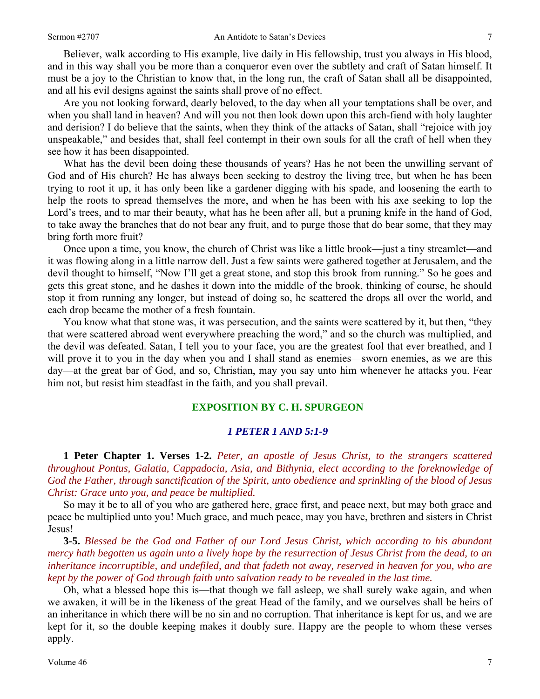Believer, walk according to His example, live daily in His fellowship, trust you always in His blood, and in this way shall you be more than a conqueror even over the subtlety and craft of Satan himself. It must be a joy to the Christian to know that, in the long run, the craft of Satan shall all be disappointed, and all his evil designs against the saints shall prove of no effect.

Are you not looking forward, dearly beloved, to the day when all your temptations shall be over, and when you shall land in heaven? And will you not then look down upon this arch-fiend with holy laughter and derision? I do believe that the saints, when they think of the attacks of Satan, shall "rejoice with joy unspeakable," and besides that, shall feel contempt in their own souls for all the craft of hell when they see how it has been disappointed.

What has the devil been doing these thousands of years? Has he not been the unwilling servant of God and of His church? He has always been seeking to destroy the living tree, but when he has been trying to root it up, it has only been like a gardener digging with his spade, and loosening the earth to help the roots to spread themselves the more, and when he has been with his axe seeking to lop the Lord's trees, and to mar their beauty, what has he been after all, but a pruning knife in the hand of God, to take away the branches that do not bear any fruit, and to purge those that do bear some, that they may bring forth more fruit?

Once upon a time, you know, the church of Christ was like a little brook—just a tiny streamlet—and it was flowing along in a little narrow dell. Just a few saints were gathered together at Jerusalem, and the devil thought to himself, "Now I'll get a great stone, and stop this brook from running." So he goes and gets this great stone, and he dashes it down into the middle of the brook, thinking of course, he should stop it from running any longer, but instead of doing so, he scattered the drops all over the world, and each drop became the mother of a fresh fountain.

You know what that stone was, it was persecution, and the saints were scattered by it, but then, "they that were scattered abroad went everywhere preaching the word," and so the church was multiplied, and the devil was defeated. Satan, I tell you to your face, you are the greatest fool that ever breathed, and I will prove it to you in the day when you and I shall stand as enemies—sworn enemies, as we are this day—at the great bar of God, and so, Christian, may you say unto him whenever he attacks you. Fear him not, but resist him steadfast in the faith, and you shall prevail.

#### **EXPOSITION BY C. H. SPURGEON**

#### *1 PETER 1 AND 5:1-9*

**1 Peter Chapter 1. Verses 1-2.** *Peter, an apostle of Jesus Christ, to the strangers scattered throughout Pontus, Galatia, Cappadocia, Asia, and Bithynia, elect according to the foreknowledge of God the Father, through sanctification of the Spirit, unto obedience and sprinkling of the blood of Jesus Christ: Grace unto you, and peace be multiplied.* 

So may it be to all of you who are gathered here, grace first, and peace next, but may both grace and peace be multiplied unto you! Much grace, and much peace, may you have, brethren and sisters in Christ Jesus!

**3-5.** *Blessed be the God and Father of our Lord Jesus Christ, which according to his abundant mercy hath begotten us again unto a lively hope by the resurrection of Jesus Christ from the dead, to an inheritance incorruptible, and undefiled, and that fadeth not away, reserved in heaven for you, who are kept by the power of God through faith unto salvation ready to be revealed in the last time.* 

Oh, what a blessed hope this is—that though we fall asleep, we shall surely wake again, and when we awaken, it will be in the likeness of the great Head of the family, and we ourselves shall be heirs of an inheritance in which there will be no sin and no corruption. That inheritance is kept for us, and we are kept for it, so the double keeping makes it doubly sure. Happy are the people to whom these verses apply.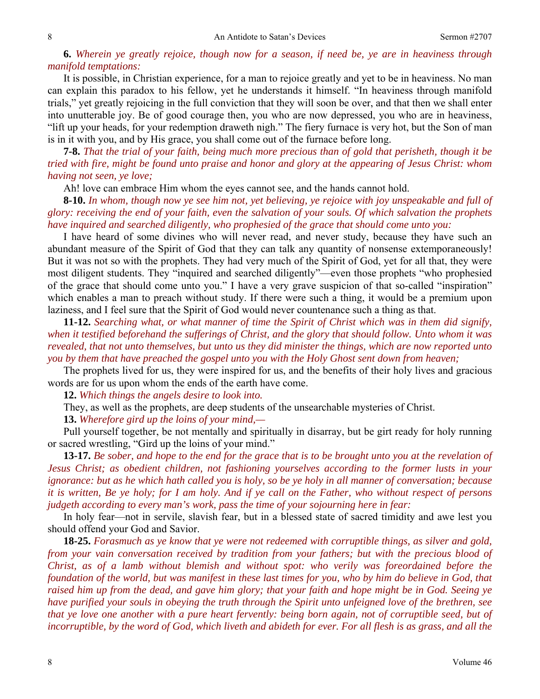**6.** *Wherein ye greatly rejoice, though now for a season, if need be, ye are in heaviness through manifold temptations:* 

It is possible, in Christian experience, for a man to rejoice greatly and yet to be in heaviness. No man can explain this paradox to his fellow, yet he understands it himself. "In heaviness through manifold trials," yet greatly rejoicing in the full conviction that they will soon be over, and that then we shall enter into unutterable joy. Be of good courage then, you who are now depressed, you who are in heaviness, "lift up your heads, for your redemption draweth nigh." The fiery furnace is very hot, but the Son of man is in it with you, and by His grace, you shall come out of the furnace before long.

**7-8.** *That the trial of your faith, being much more precious than of gold that perisheth, though it be tried with fire, might be found unto praise and honor and glory at the appearing of Jesus Christ: whom having not seen, ye love;* 

Ah! love can embrace Him whom the eyes cannot see, and the hands cannot hold.

**8-10.** *In whom, though now ye see him not, yet believing, ye rejoice with joy unspeakable and full of glory: receiving the end of your faith, even the salvation of your souls. Of which salvation the prophets have inquired and searched diligently, who prophesied of the grace that should come unto you:* 

I have heard of some divines who will never read, and never study, because they have such an abundant measure of the Spirit of God that they can talk any quantity of nonsense extemporaneously! But it was not so with the prophets. They had very much of the Spirit of God, yet for all that, they were most diligent students. They "inquired and searched diligently"—even those prophets "who prophesied of the grace that should come unto you." I have a very grave suspicion of that so-called "inspiration" which enables a man to preach without study. If there were such a thing, it would be a premium upon laziness, and I feel sure that the Spirit of God would never countenance such a thing as that.

**11-12.** *Searching what, or what manner of time the Spirit of Christ which was in them did signify, when it testified beforehand the sufferings of Christ, and the glory that should follow. Unto whom it was revealed, that not unto themselves, but unto us they did minister the things, which are now reported unto you by them that have preached the gospel unto you with the Holy Ghost sent down from heaven;* 

The prophets lived for us, they were inspired for us, and the benefits of their holy lives and gracious words are for us upon whom the ends of the earth have come.

**12.** *Which things the angels desire to look into.* 

They, as well as the prophets, are deep students of the unsearchable mysteries of Christ.

**13.** *Wherefore gird up the loins of your mind,—* 

Pull yourself together, be not mentally and spiritually in disarray, but be girt ready for holy running or sacred wrestling, "Gird up the loins of your mind."

**13-17.** *Be sober, and hope to the end for the grace that is to be brought unto you at the revelation of Jesus Christ; as obedient children, not fashioning yourselves according to the former lusts in your ignorance: but as he which hath called you is holy, so be ye holy in all manner of conversation; because it is written, Be ye holy; for I am holy. And if ye call on the Father, who without respect of persons judgeth according to every man's work, pass the time of your sojourning here in fear:* 

In holy fear—not in servile, slavish fear, but in a blessed state of sacred timidity and awe lest you should offend your God and Savior.

**18-25.** *Forasmuch as ye know that ye were not redeemed with corruptible things, as silver and gold, from your vain conversation received by tradition from your fathers; but with the precious blood of Christ, as of a lamb without blemish and without spot: who verily was foreordained before the foundation of the world, but was manifest in these last times for you, who by him do believe in God, that raised him up from the dead, and gave him glory; that your faith and hope might be in God. Seeing ye have purified your souls in obeying the truth through the Spirit unto unfeigned love of the brethren, see that ye love one another with a pure heart fervently: being born again, not of corruptible seed, but of incorruptible, by the word of God, which liveth and abideth for ever. For all flesh is as grass, and all the*